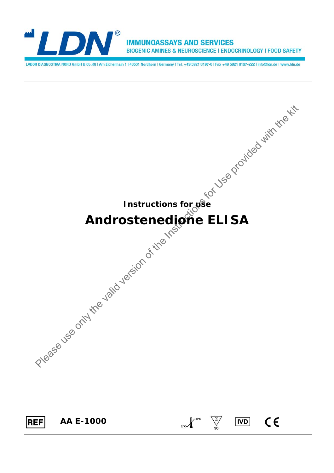

**IMMUNOASSAYS AND SERVICES** BIOGENIC AMINES & NEUROSCIENCE | ENDOCRINOLOGY | FOOD SAFETY

LABOR DIAGNOSTIKA NORD GmbH & Co.KG | Am Eichenhain 1 | 48531 Nordhorn | Germany | Tel. +49 5921 8197-0 | Fax +49 5921 8197-222 | info@ldn.de | www.ldn.de

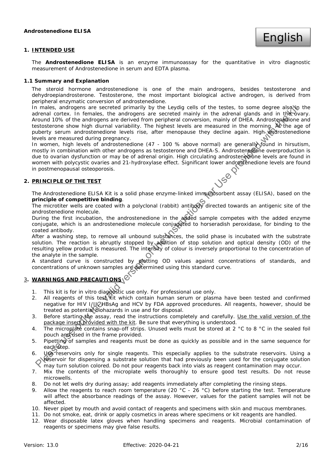## **1. INTENDED USE**

The **Androstenedione ELISA** is an enzyme immunoassay for the quantitative in vitro diagnostic measurement of Androstenedione in serum and EDTA plasma.

#### **1.1 Summary and Explanation**

The steroid hormone androstenedione is one of the main androgens, besides testosterone and dehydroepiandrosterone. Testosterone, the most important biological active androgen, is derived from peripheral enzymatic conversion of androstenedione.

In males, androgens are secreted primarily by the Leydig cells of the testes, to some degree also in the adrenal cortex. In females, the androgens are secreted mainly in the adrenal glands and in the ovary. Around 10% of the androgens are derived from peripheral conversion, mainly of DHEA. Androstenedione and testosterone show high diurnal variability. The highest levels are measured in the morning. At the age of puberty serum androstenedione levels rise, after menopause they decline again. High androstenedione levels are measured during pregnancy. metes, and operator is excelled primality by the Loydig cells of the tests, to some degree also<br>by the valid version as excepted minimiple in the cation of the valid version of<br>the valid version of the analogons are secre

In women, high levels of androstenedione (47 - 100 % above normal) are generally found in hirsutism, mostly in combination with other androgens as testosterone and DHEA-S. Androstenedione overproduction is due to ovarian dysfunction or may be of adrenal origin. High circulating androstenedione levels are found in women with polycystic ovaries and 21-hydroxylase effect. Significant lower androstenedione levels are found in postmenopausal osteoporosis.

## **2. PRINCIPLE OF THE TEST**

The Androstenedione ELISA Kit is a solid phase enzyme-linked immunosorbent assay (ELISA), based on the **principle of competitive binding**.

principle of competitive binding.<br>The microtiter wells are coated with a polyclonal (rabbit) antibody directed towards an antigenic site of the androstenedione molecule.

During the first incubation, the androstenedione in the added sample competes with the added enzyme conjugate, which is an androstenedione molecule conjugated to horseradish peroxidase, for binding to the coated antibody.

After a washing step, to remove all unbound substances, the solid phase is incubated with the substrate solution. The reaction is abruptly stopped by addition of stop solution and optical density (OD) of the resulting yellow product is measured. The intensity of colour is inversely proportional to the concentration of the analyte in the sample.

A standard curve is constructed by plotting OD values against concentrations of standards, and concentrations of unknown samples are determined using this standard curve.

## 3**. WARNINGS AND PRECAUTIONS**

- 1. This kit is for in vitro diagnostic use only. For professional use only.
- 2. All reagents of this test kit which contain human serum or plasma have been tested and confirmed negative for HIV I/IICHBsAg and HCV by FDA approved procedures. All reagents, however, should be treated as potential biohazards in use and for disposal.
- 3. Before starting the assay, read the instructions completely and carefully. Use the valid version of the package insert provided with the kit. Be sure that everything is understood.
- 4. The microplate contains snap-off strips. Unused wells must be stored at 2 °C to 8 °C in the sealed foil pouch and used in the frame provided.
- 5. Pipetting of samples and reagents must be done as quickly as possible and in the same sequence for each Step.
- 6. Use reservoirs only for single reagents. This especially applies to the substrate reservoirs. Using a reservoir for dispensing a substrate solution that had previously been used for the conjugate solution **These volume of disperising a substrate solution may not previously as reagent contamination may occur.**
- 7. Mix the contents of the microplate wells thoroughly to ensure good test results. Do not reuse microwells.
- 8. Do not let wells dry during assay; add reagents immediately after completing the rinsing steps.
- 9. Allow the reagents to reach room temperature (20 °C 26 °C) before starting the test. Temperature will affect the absorbance readings of the assay. However, values for the patient samples will not be affected.
- 10. Never pipet by mouth and avoid contact of reagents and specimens with skin and mucous membranes.
- 11. Do not smoke, eat, drink or apply cosmetics in areas where specimens or kit reagents are handled.
- 12. Wear disposable latex gloves when handling specimens and reagents. Microbial contamination of reagents or specimens may give false results.

English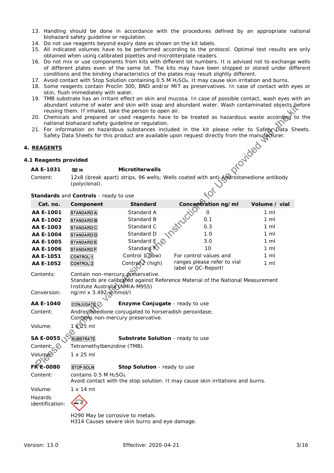- 13. Handling should be done in accordance with the procedures defined by an appropriate national biohazard safety guideline or regulation.
- 14. Do not use reagents beyond expiry date as shown on the kit labels.
- 15. All indicated volumes have to be performed according to the protocol. Optimal test results are only obtained when using calibrated pipettes and microtiterplate readers.
- 16. Do not mix or use components from kits with different lot numbers. It is advised not to exchange wells of different plates even of the same lot. The kits may have been shipped or stored under different conditions and the binding characteristics of the plates may result slightly different.
- 17. Avoid contact with Stop Solution containing 0.5 M H2SO4. It may cause skin irritation and burns.
- 18. Some reagents contain Proclin 300, BND and/or MIT as preservatives. In case of contact with eyes or skin, flush immediately with water.
- 19. TMB substrate has an irritant effect on skin and mucosa. In case of possible contact, wash eyes with an abundant volume of water and skin with soap and abundant water. Wash contaminated objects before reusing them. If inhaled, take the person to open air.
- 20. Chemicals and prepared or used reagents have to be treated as hazardous waste according to the national biohazard safety guideline or regulation.
- 21. For information on hazardous substances included in the kit please refer to Safety Data Sheets. Safety Data Sheets for this product are available upon request directly from the manufacturer.<br>
GENTS<br>
agents provided<br>
1931 The manufacturer.<br>
1931 The manufacturer.

## **4. REAGENTS**

#### **4.1 Reagents provided**

# AA E-1031 Microtiterwells

| Standards and Controls - ready to use |  |
|---------------------------------------|--|
|---------------------------------------|--|

|                            |                                               | reusing them. If inhaled, take the person to open air.<br>national biohazard safety guideline or regulation. | abundant volume of water and skin with soap and abundant water. Wash contaminated objects be<br>20. Chemicals and prepared or used reagents have to be treated as hazardous waste according to<br>21. For information on hazardous substances included in the kit please refer to Safety Data She<br>Safety Data Sheets for this product are available upon request directly from the manufacturer. |                |
|----------------------------|-----------------------------------------------|--------------------------------------------------------------------------------------------------------------|-----------------------------------------------------------------------------------------------------------------------------------------------------------------------------------------------------------------------------------------------------------------------------------------------------------------------------------------------------------------------------------------------------|----------------|
| <b>REAGENTS</b>            |                                               |                                                                                                              |                                                                                                                                                                                                                                                                                                                                                                                                     | provided       |
| 1 Reagents provided        |                                               |                                                                                                              |                                                                                                                                                                                                                                                                                                                                                                                                     |                |
| AA E-1031                  | 回 96                                          | <b>Microtiterwells</b>                                                                                       |                                                                                                                                                                                                                                                                                                                                                                                                     |                |
| Content:                   | (polyclonal).                                 |                                                                                                              | 12x8 (break apart) strips, 96 wells; Wells coated with anti-Arcdrostenedione antibody                                                                                                                                                                                                                                                                                                               |                |
|                            | Standards and Controls - ready to use         |                                                                                                              |                                                                                                                                                                                                                                                                                                                                                                                                     |                |
| Cat. no.                   | Component                                     | <b>Standard</b>                                                                                              | Concentration ng/ml                                                                                                                                                                                                                                                                                                                                                                                 | Volume / vial  |
| AA E-1001                  | <b>STANDARD</b> A                             | Standard A                                                                                                   | 0                                                                                                                                                                                                                                                                                                                                                                                                   | $1 \text{ ml}$ |
| AA E-1002                  | <b>STANDARD</b> B                             | Standard B                                                                                                   | 0.1                                                                                                                                                                                                                                                                                                                                                                                                 | $1 \,$ ml      |
| AA E-1003                  | <b>STANDARD</b> C                             | Standard C                                                                                                   | 0.3                                                                                                                                                                                                                                                                                                                                                                                                 | $1 \text{ ml}$ |
| AA E-1004                  | <b>STANDARD</b> D                             | Standard D                                                                                                   | 1.0                                                                                                                                                                                                                                                                                                                                                                                                 | $1 \text{ ml}$ |
| AA E-1005                  | <b>STANDARD</b> E                             | Standard E                                                                                                   | 3.0                                                                                                                                                                                                                                                                                                                                                                                                 | $1 \text{ ml}$ |
| AA E-1006                  | <b>STANDARD</b> F                             | Standard <sup>K</sup>                                                                                        | 10                                                                                                                                                                                                                                                                                                                                                                                                  | $1 \text{ ml}$ |
| AA E-1051                  | <b>CONTROL</b>                                | Control 1 (Jow)                                                                                              | For control values and                                                                                                                                                                                                                                                                                                                                                                              | $1 \text{ ml}$ |
| AA E-1052                  | <b>CONTROL</b> <sub>2</sub>                   | Control <sup>2</sup> (high)                                                                                  | ranges please refer to vial<br>label or QC-Report!                                                                                                                                                                                                                                                                                                                                                  | $1 \text{ ml}$ |
| Contents:<br>Conversion:   | ng/ml x $3.492$ mmol/l                        | Contain non-mercury preservative.<br>Institute Australia (NMIA-M955)                                         | Standards are calibrated against Reference Material of the National Measurement                                                                                                                                                                                                                                                                                                                     |                |
| AA E-1040                  | CONJUGATE $\mathcal{O}_1$                     | Enzyme Conjugate - ready to use                                                                              |                                                                                                                                                                                                                                                                                                                                                                                                     |                |
| Content:                   |                                               | Androstenedione conjugated to horseradish peroxidase;<br>Contains non-mercury preservative.                  |                                                                                                                                                                                                                                                                                                                                                                                                     |                |
| Volume:                    | 1 225 ml                                      |                                                                                                              |                                                                                                                                                                                                                                                                                                                                                                                                     |                |
| SA E-0055.                 | <b>SUBSTRATE</b>                              | Substrate Solution - ready to use                                                                            |                                                                                                                                                                                                                                                                                                                                                                                                     |                |
| Content: <b>Z</b>          | Tetramethylbenzidine (TMB).                   |                                                                                                              |                                                                                                                                                                                                                                                                                                                                                                                                     |                |
| Volume <sup>2</sup>        | $1 \times 25$ ml                              |                                                                                                              |                                                                                                                                                                                                                                                                                                                                                                                                     |                |
| <b>FRE-0080</b>            | <b>STOP-SOLN</b>                              | Stop Solution - ready to use                                                                                 |                                                                                                                                                                                                                                                                                                                                                                                                     |                |
| Content:                   | contains 0.5 M H <sub>2</sub> SO <sub>4</sub> |                                                                                                              | Avoid contact with the stop solution. It may cause skin irritations and burns.                                                                                                                                                                                                                                                                                                                      |                |
| Volume:                    | $1 \times 14$ ml                              |                                                                                                              |                                                                                                                                                                                                                                                                                                                                                                                                     |                |
| Hazards<br>identification: |                                               |                                                                                                              |                                                                                                                                                                                                                                                                                                                                                                                                     |                |
|                            |                                               | H290 May be corrosive to metals.                                                                             |                                                                                                                                                                                                                                                                                                                                                                                                     |                |

H314 Causes severe skin burns and eye damage.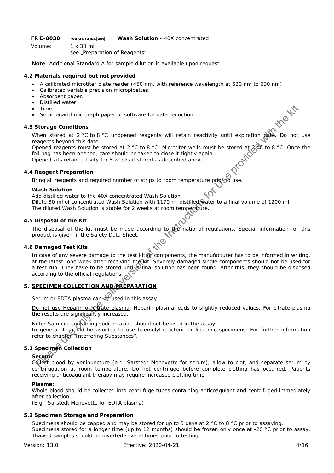FR E-0030 **WASH-CONC 40x** Wash Solution - 40X concentrated

Volume: 1 x 30 ml *see "Preparation of Reagents"* 

**Note**: Additional Standard A for sample dilution is available upon request.

## **4.2 Materials required but not provided**

- A calibrated microtiter plate reader (450 nm, with reference wavelength at 620 nm to 630 nm)
- Calibrated variable precision micropipettes.
- Absorbent paper.
- Distilled water
- Timer
- Semi logarithmic graph paper or software for data reduction

## **4.3 Storage Conditions**

When stored at 2 °C to 8 °C unopened reagents will retain reactivity until expiration date. Do not use reagents beyond this date.

Opened reagents must be stored at 2 °C to 8 °C. Microtiter wells must be stored at  $2^{\circ}$  to 8 °C. Once the foil bag has been opened, care should be taken to close it tightly again. Opened kits retain activity for 8 weeks if stored as described above.

## **4.4 Reagent Preparation**

Bring all reagents and required number of strips to room temperature prior to use.

## **Wash Solution**

Add distilled water to the 40X concentrated Wash Solution. Dilute 30 ml of concentrated Wash Solution with 1170 ml distilled water to a final volume of 1200 ml. *The diluted Wash Solution is stable for 2 weeks at room temperature.* 

## **4.5 Disposal of the Kit**

The disposal of the kit must be made according to the national regulations. Special information for this product is given in the Safety Data Sheet.

## **4.6 Damaged Test Kits**

In case of any severe damage to the test kit or components, the manufacturer has to be informed in writing, at the latest, one week after receiving the kit. Severely damaged single components should not be used for a test run. They have to be stored until Pfinal solution has been found. After this, they should be disposed according to the official regulations. Timer<br>
Somilogarithmic graph paper or software for data reduction<br>
Storage Conditions<br>
Storage Conditions<br>
Storage Conditions<br>
Storage Conditions<br>
Storage Use on  $\alpha$ <br>
Storage Use on  $\alpha$ <br>
Storage Use on  $\alpha$ <br>
Storage Use

## **5. SPECIMEN COLLECTION AND PREPARATION**

Serum or EDTA plasma can be used in this assay.

Do not use Heparin or chirate plasma. Heparin plasma leads to slightly reduced values. For citrate plasma the results are significantly increased.

Note: Samples containing sodium azide should not be used in the assay.

In general it should be avoided to use haemolytic, icteric or lipaemic specimens. For further information refer to chapter "Interfering Substances".

## **5.1 Specimen Collection**

# **Serum:**

Collect blood by venipuncture (e.g. Sarstedt Monovette for serum), allow to clot, and separate serum by centrifugation at room temperature. Do not centrifuge before complete clotting has occurred. Patients receiving anticoagulant therapy may require increased clotting time.

## **Plasma:**

Whole blood should be collected into centrifuge tubes containing anticoagulant and centrifuged immediately after collection.

(E.g. Sarstedt Monovette for EDTA plasma)

## **5.2 Specimen Storage and Preparation**

Specimens should be capped and may be stored for up to 5 days at 2 °C to 8 °C prior to assaying. Specimens stored for a longer time (up to 12 months) should be frozen only once at -20 °C prior to assay. Thawed samples should be inverted several times prior to testing.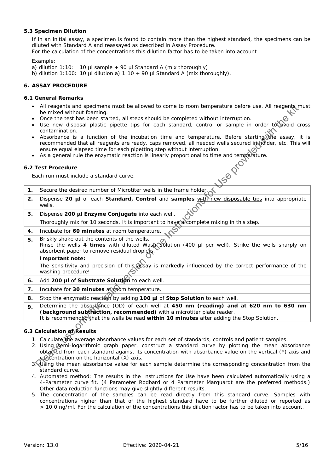## **5.3 Specimen Dilution**

If in an initial assay, a specimen is found to contain more than the highest standard, the specimens can be diluted with *Standard A* and reassayed as described in Assay Procedure.

For the calculation of the concentrations this dilution factor has to be taken into account.

*Example*:

a) dilution 1:10: 10 µl sample + 90 µl Standard A (mix thoroughly)

b) dilution 1:100: 10 µl dilution a) 1:10 + 90 µl Standard A (mix thoroughly).

## **6. ASSAY PROCEDURE**

### **6.1 General Remarks**

- All reagents and specimens must be allowed to come to room temperature before use. All reagents must be mixed without foaming.
- Once the test has been started, all steps should be completed without interruption.
- Use new disposal plastic pipette tips for each standard, control or sample in order to avoid cross contamination.
- Absorbance is a function of the incubation time and temperature. Before starting the assay, it is recommended that all reagents are ready, caps removed, all needed wells secured in holder, etc. This will ensure equal elapsed time for each pipetting step without interruption.
- As a general rule the enzymatic reaction is linearly proportional to time and temperature.<br>
Each run must include a standard curve.<br>
Accuration is the contract of the standard curve.

## **6.2 Test Procedure**

Each run must include a standard curve.

- **1.** Secure the desired number of Microtiter wells in the frame holder.
- **2.** Dispense **20 µl** of each *Standard, Control* and **samples** with new disposable tips into appropriate wells.
- **3.** Dispense **200 µl** *Enzyme Conjugate* into each well.

Thoroughly mix for 10 seconds. It is important to have a complete mixing in this step.

- **4.** Incubate for **60 minutes** at room temperature.
- **5.** Briskly shake out the contents of the wells. Rinse the wells **4 times** with diluted *Wash Solution* (400 µl per well). Strike the wells sharply on absorbent paper to remove residual droplets. All reasons and specifies must be allowed to come to room temperature before use. All reasons the test has been started, all steps should be completed without interruption.<br>
One me insteps all particle parties the started

#### **Important note:**

The sensitivity and precision of this assay is markedly influenced by the correct performance of the washing procedure!

- **6.** Add **200 µl** of *Substrate Solution* to each well.
- **7.** Incubate for **30 minutes** at **reduce** temperature.
- 8. Stop the enzymatic reaction by adding 100 µl of *Stop Solution* to each well.
- **9.** Determine the absorbance (OD) of each well at **450 nm (reading) and at 620 nm to 630 nm (background subtraction, recommended)** with a microtiter plate reader.

It is recommended that the wells be read **within 10 minutes** after adding the *Stop Solution*.

## **6.3 Calculation of Results**

- 1. Calculate the average absorbance values for each set of standards, controls and patient samples.
- 2. Using semi-logarithmic graph paper, construct a standard curve by plotting the mean absorbance obtained from each standard against its concentration with absorbance value on the vertical (Y) axis and concentration on the horizontal (X) axis.
- 3. Using the mean absorbance value for each sample determine the corresponding concentration from the standard curve.
- 4. Automated method: The results in the Instructions for Use have been calculated automatically using a 4-Parameter curve fit. (4 Parameter Rodbard or 4 Parameter Marquardt are the preferred methods.) Other data reduction functions may give slightly different results.
- 5. The concentration of the samples can be read directly from this standard curve. Samples with concentrations higher than that of the highest standard have to be further diluted or reported as > 10.0 ng/ml. For the calculation of the concentrations this dilution factor has to be taken into account.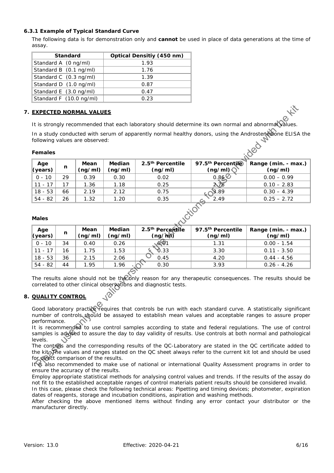## **6.3.1 Example of Typical Standard Curve**

The following data is for demonstration only and **cannot** be used in place of data generations at the time of assay.

| <b>Standard</b>         | <b>Optical Densitiy (450 nm)</b> |
|-------------------------|----------------------------------|
| Standard A (0 ng/ml)    | 1.93                             |
| Standard B (0.1 ng/ml)  | 1.76                             |
| Standard C (0.3 ng/ml)  | 1.39                             |
| Standard D (1.0 ng/ml)  | 0.87                             |
| Standard E (3.0 ng/ml)  | 0.47                             |
| Standard F (10.0 ng/ml) | 0.23                             |

## **7. EXPECTED NORMAL VALUES**

## **Females**

| Age<br>$\sqrt{\frac{1}{2}}$ (years) | n  | Mean<br>(ng/ml) | <b>Median</b><br>(ng/ml) | 2.5 <sup>th</sup> Percentile<br>(ng/ml) | 97.5 <sup>th</sup> Percentile<br>(ng/ml) | Range (min. - max.) $\parallel$<br>(ng/ml) |
|-------------------------------------|----|-----------------|--------------------------|-----------------------------------------|------------------------------------------|--------------------------------------------|
| $0 - 10$                            | 29 | 0.39            | 0.30                     | 0.02                                    | 0.868                                    | $0.00 - 0.99$                              |
| $11 - 17$                           |    | .36             | 1.18                     | 0.25                                    | $2\sqrt{8}$                              | $0.10 - 2.83$                              |
| $18 - 53$                           | 66 | 2.19            | 2.12                     | 0.75                                    | $\mathbf{3.89}$                          | $0.30 - 4.39$                              |
| 54 - 82                             | 26 | 1.32            | 1.20                     | 0.35                                    | 2.49                                     | $0.25 - 2.72$                              |

## **Males**

|                         |    | <b>EXPECTED NORMAL VALUES</b>         |                          |                                                                 |                                                                                                      |                                                                                                                                                                                                                                                                                                                                                                                                                                                  |
|-------------------------|----|---------------------------------------|--------------------------|-----------------------------------------------------------------|------------------------------------------------------------------------------------------------------|--------------------------------------------------------------------------------------------------------------------------------------------------------------------------------------------------------------------------------------------------------------------------------------------------------------------------------------------------------------------------------------------------------------------------------------------------|
|                         |    |                                       |                          |                                                                 | It is strongly recommended that each laboratory should determine its own normal and abnormal values. |                                                                                                                                                                                                                                                                                                                                                                                                                                                  |
|                         |    | following values are observed:        |                          |                                                                 |                                                                                                      | In a study conducted with serum of apparently normal healthy donors, using the Androstenedione ELISA the                                                                                                                                                                                                                                                                                                                                         |
| <b>Females</b>          |    |                                       |                          |                                                                 |                                                                                                      | Jed                                                                                                                                                                                                                                                                                                                                                                                                                                              |
| Age<br>(years)          | n  | Mean<br>(ng/ml)                       | <b>Median</b><br>(ng/ml) | 2.5 <sup>th</sup> Percentile<br>(ng/ml)                         | 97.5th Percentile<br>(ng/ml)                                                                         | Range (min. - max.)<br>(ng/ml)                                                                                                                                                                                                                                                                                                                                                                                                                   |
| $0 - 10$                | 29 | 0.39                                  | 0.30                     | 0.02                                                            | 0.86                                                                                                 | $0.00 - 0.99$                                                                                                                                                                                                                                                                                                                                                                                                                                    |
| $11 - 17$               | 17 | 1.36                                  | 1.18                     | 0.25                                                            | $2\sqrt{8}$                                                                                          | $0.10 - 2.83$                                                                                                                                                                                                                                                                                                                                                                                                                                    |
| $18 - 53$               | 66 | 2.19                                  | 2.12                     | 0.75                                                            | $\mathbf{\S}.89$                                                                                     | $0.30 - 4.39$                                                                                                                                                                                                                                                                                                                                                                                                                                    |
| $54 - 82$               | 26 | 1.32                                  | 1.20                     | 0.35                                                            | 2.49                                                                                                 | $0.25 - 2.72$                                                                                                                                                                                                                                                                                                                                                                                                                                    |
| <b>Males</b>            |    |                                       |                          |                                                                 | Wations                                                                                              |                                                                                                                                                                                                                                                                                                                                                                                                                                                  |
| Age<br>(years)          | n  | Mean<br>(ng/ml)                       | Median<br>(ng/ml)        | 2.5 <sup>th</sup> Percertile<br>$(ng/\hbar d)$                  | 97.5 <sup>th</sup> Percentile<br>(ng/ml)                                                             | Range (min. - max.)<br>(ng/ml)                                                                                                                                                                                                                                                                                                                                                                                                                   |
| $0 - 10$                | 34 | 0.40                                  | 0.26                     | 691                                                             | 1.31                                                                                                 | $0.00 - 1.54$                                                                                                                                                                                                                                                                                                                                                                                                                                    |
| $11 - 17$               | 16 | 1.75                                  | 1.53                     | ð.33                                                            | 3.30                                                                                                 | $0.11 - 3.50$                                                                                                                                                                                                                                                                                                                                                                                                                                    |
| $18 - 53$               | 36 | 2.15                                  | 2.06                     | 0.45                                                            | 4.20                                                                                                 | $0.44 - 4.56$                                                                                                                                                                                                                                                                                                                                                                                                                                    |
| $54 - 82$               | 44 | 1.95                                  | 1.96                     | 0.30                                                            | 3.93                                                                                                 | $0.26 - 4.26$                                                                                                                                                                                                                                                                                                                                                                                                                                    |
| <b>QUALITY CONTROL</b>  |    |                                       |                          | correlated to other clinical observations and diagnostic tests. |                                                                                                      | The results alone should not be the only reason for any therapeutic consequences. The results should be                                                                                                                                                                                                                                                                                                                                          |
| performance.<br>levels. |    |                                       |                          |                                                                 |                                                                                                      | Good laboratory practice requires that controls be run with each standard curve. A statistically significant<br>number of controls should be assayed to establish mean values and acceptable ranges to assure proper<br>It is recommended to use control samples according to state and federal regulations. The use of control<br>samples is advised to assure the day to day validity of results. Use controls at both normal and pathological |
|                         |    | for direct comparison of the results. |                          |                                                                 |                                                                                                      | The controls and the corresponding results of the QC-Laboratory are stated in the QC certificate added to<br>the kit. The values and ranges stated on the QC sheet always refer to the current kit lot and should be used<br>It is also recommended to make use of national or international Quality Assessment programs in order to                                                                                                             |

## **8. QUALITY CONTROL**

It is also recommended to make use of national or international Quality Assessment programs in order to ensure the accuracy of the results.

Employ appropriate statistical methods for analysing control values and trends. If the results of the assay do not fit to the established acceptable ranges of control materials patient results should be considered invalid. In this case, please check the following technical areas: Pipetting and timing devices; photometer, expiration

dates of reagents, storage and incubation conditions, aspiration and washing methods.

After checking the above mentioned items without finding any error contact your distributor or the manufacturer directly.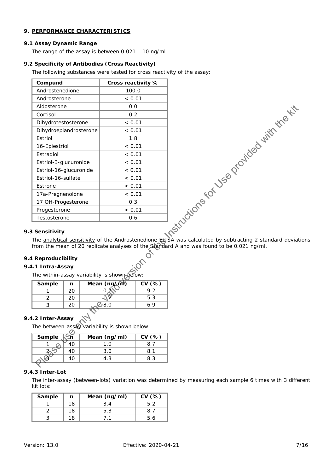## **9. PERFORMANCE CHARACTERISTICS**

## **9.1 Assay Dynamic Range**

The range of the assay is between 0.021 – 10 ng/ml.

## **9.2 Specificity of Antibodies (Cross Reactivity)**

The following substances were tested for cross reactivity of the assay:

| Compund                | Cross reactivity % |
|------------------------|--------------------|
| Androstenedione        | 100.0              |
| Androsterone           | < 0.01             |
| Aldosterone            | 0.0                |
| Cortisol               | 0.2                |
| Dihydrotestosterone    | < 0.01             |
| Dihydroepiandrosterone | < 0.01             |
| Estriol                | 1.8                |
| 16-Epiestriol          | < 0.01             |
| Estradiol              | < 0.01             |
| Estriol-3-glucuronide  | < 0.01             |
| Estriol-16-glucuronide | < 0.01             |
| Estriol-16-sulfate     | < 0.01             |
| Estrone                | < 0.01             |
| 17a-Pregnenolone       | < 0.01             |
| 17 OH-Progesterone     | 0.3                |
| Progesterone           | < 0.01             |
| Testosterone           | 0.6                |



#### **9.3 Sensitivity**

The analytical sensitivity of the Androstenedione ELISA was calculated by subtracting 2 standard deviations from the mean of 20 replicate analyses of the Standard A and was found to be 0.021 ng/ml.

## **9.4 Reproducibility**

## **9.4.1 Intra-Assay**

| The within-assay variability is shown below: |  |  |
|----------------------------------------------|--|--|
|----------------------------------------------|--|--|

| Sample | Mean (ng/ml) | CV(% ) |
|--------|--------------|--------|
|        |              |        |
|        |              | 5.3    |
|        | 8.0          |        |

# **9.4.2 Inter-Assay**

The between-assay variability is shown below:

| Sample | Mean (ng/ml) | CV(% ) |
|--------|--------------|--------|
|        |              |        |
|        | ח ?          |        |
|        |              |        |

## **9.4.3 Inter-Lot**

The inter-assay (between-lots) variation was determined by measuring each sample 6 times with 3 different kit lots:

| Sample | n  | Mean (ng/ml) | CV(%) |
|--------|----|--------------|-------|
|        | 18 |              |       |
|        | 18 | 5.3          |       |
|        | 18 |              |       |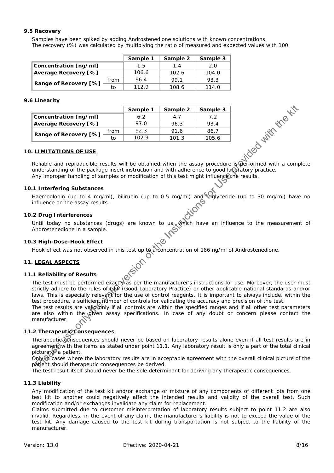## **9.5 Recovery**

Samples have been spiked by adding Androstenedione solutions with known concentrations. The recovery (%) was calculated by multiplying the ratio of measured and expected values with 100.

|                       |      | Sample 1 | Sample 2 | Sample 3 |
|-----------------------|------|----------|----------|----------|
| Concentration [ng/ml] |      | 1.5      | 1.4      | 2.0      |
| Average Recovery [%]  |      | 106.6    | 102.6    | 104.0    |
|                       | from | 96.4     | 99.1     | 93.3     |
| Range of Recovery [%] | tο   | 1129     | 108.6    | 114.0    |

#### **9.6 Linearity**

| <b>Linearity</b>                                                                                                                                                                                                                                                                                                                                                                                                                                                                                                                                                                                                                                                                                   |          |          |          |                     |
|----------------------------------------------------------------------------------------------------------------------------------------------------------------------------------------------------------------------------------------------------------------------------------------------------------------------------------------------------------------------------------------------------------------------------------------------------------------------------------------------------------------------------------------------------------------------------------------------------------------------------------------------------------------------------------------------------|----------|----------|----------|---------------------|
|                                                                                                                                                                                                                                                                                                                                                                                                                                                                                                                                                                                                                                                                                                    | Sample 1 | Sample 2 | Sample 3 |                     |
| Concentration [ng/ml]                                                                                                                                                                                                                                                                                                                                                                                                                                                                                                                                                                                                                                                                              | 6.2      | 4.7      | 7.2      |                     |
| <b>Average Recovery [%]</b>                                                                                                                                                                                                                                                                                                                                                                                                                                                                                                                                                                                                                                                                        | 97.0     | 96.3     | 93.4     |                     |
| from                                                                                                                                                                                                                                                                                                                                                                                                                                                                                                                                                                                                                                                                                               | 92.3     | 91.6     | 86.7     |                     |
| Range of Recovery [%]<br>to                                                                                                                                                                                                                                                                                                                                                                                                                                                                                                                                                                                                                                                                        | 102.9    | 101.3    | 105.6    |                     |
| . <u>LIMITATIONS OF USE</u>                                                                                                                                                                                                                                                                                                                                                                                                                                                                                                                                                                                                                                                                        |          |          |          | indeed with the Kit |
| Reliable and reproducible results will be obtained when the assay procedure is performed with a complete<br>understanding of the package insert instruction and with adherence to good laboratory practice.<br>Any improper handling of samples or modification of this test might influence the results.                                                                                                                                                                                                                                                                                                                                                                                          |          |          |          |                     |
| 1 Interfering Substances                                                                                                                                                                                                                                                                                                                                                                                                                                                                                                                                                                                                                                                                           |          |          |          |                     |
| Haemoglobin (up to 4 mg/ml), bilirubin (up to 0.5 mg/ml) and triglyceride (up to 30 mg/ml) have no<br>influence on the assay results.                                                                                                                                                                                                                                                                                                                                                                                                                                                                                                                                                              |          |          |          |                     |
| .2 Drug Interferences                                                                                                                                                                                                                                                                                                                                                                                                                                                                                                                                                                                                                                                                              |          |          |          |                     |
| Until today no substances (drugs) are known to us, which have an influence to the measurement of Androstenedione in a sample.                                                                                                                                                                                                                                                                                                                                                                                                                                                                                                                                                                      |          |          |          |                     |
|                                                                                                                                                                                                                                                                                                                                                                                                                                                                                                                                                                                                                                                                                                    |          |          |          |                     |
| 3 High-Dose-Hook Effect<br>Hook effect was not observed in this test up to a concentration of 186 ng/ml of Androstenedione.                                                                                                                                                                                                                                                                                                                                                                                                                                                                                                                                                                        |          |          |          |                     |
| . <u>LEGAL ASPECTS</u>                                                                                                                                                                                                                                                                                                                                                                                                                                                                                                                                                                                                                                                                             | ersion   |          |          |                     |
| .1 Reliability of Results                                                                                                                                                                                                                                                                                                                                                                                                                                                                                                                                                                                                                                                                          |          |          |          |                     |
| The test must be performed exactivas per the manufacturer's instructions for use. Moreover, the user must<br>strictly adhere to the rules of GOP (Good Laboratory Practice) or other applicable national standards and/or<br>laws. This is especially relevant for the use of control reagents. It is important to always include, within the<br>test procedure, a sufficient number of controls for validating the accuracy and precision of the test.<br>The test results are valid only if all controls are within the specified ranges and if all other test parameters<br>are also within the given assay specifications. In case of any doubt or concern please contact the<br>manufacturer. |          |          |          |                     |
| 2 TherapeuticConsequences                                                                                                                                                                                                                                                                                                                                                                                                                                                                                                                                                                                                                                                                          |          |          |          |                     |
| Therapeutic consequences should never be based on laboratory results alone even if all test results are in<br>agreement with the items as stated under point 11.1. Any laboratory result is only a part of the total clinical<br>picture of a patient.                                                                                                                                                                                                                                                                                                                                                                                                                                             |          |          |          |                     |
| Only to cases where the laboratory results are in acceptable agreement with the overall clinical picture of the<br>patient should therapeutic consequences be derived.                                                                                                                                                                                                                                                                                                                                                                                                                                                                                                                             |          |          |          |                     |

## **10. LIMITATIONS OF USE**

#### **10.1 Interfering Substances**

#### **10.2 Drug Interferences**

#### **10.3 High-Dose-Hook Effect**

## **11. LEGAL ASPECTS**

#### **11.1 Reliability of Results**

## 11.2 Therapeutic Consequences

The test result itself should never be the sole determinant for deriving any therapeutic consequences.

#### **11.3 Liability**

Any modification of the test kit and/or exchange or mixture of any components of different lots from one test kit to another could negatively affect the intended results and validity of the overall test. Such modification and/or exchanges invalidate any claim for replacement.

Claims submitted due to customer misinterpretation of laboratory results subject to point 11.2 are also invalid. Regardless, in the event of any claim, the manufacturer's liability is not to exceed the value of the test kit. Any damage caused to the test kit during transportation is not subject to the liability of the manufacturer.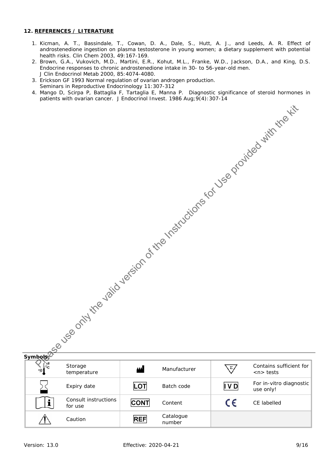## **12. REFERENCES / LITERATURE**

- 1. Kicman, A. T., Bassindale, T., Cowan, D. A., Dale, S., Hutt, A. J., and Leeds, A. R. Effect of androstenedione ingestion on plasma testosterone in young women; a dietary supplement with potential health risks. Clin Chem 2003, 49:167-169.
- 2. Brown, G.A., Vukovich, M.D., Martini, E.R., Kohut, M.L., Franke, W.D., Jackson, D.A., and King, D.S. Endocrine responses to chronic androstenedione intake in 30- to 56-year-old men. J Clin Endocrinol Metab 2000, 85:4074-4080.
- 3. Erickson GF 1993 Normal regulation of ovarian androgen production. Seminars in Reproductive Endocrinology 11:307-312
- 4. Mango D, Scirpa P, Battaglia F, Tartaglia E, Manna P. Diagnostic significance of steroid hormones in patients with ovarian cancer. J Endocrinol Invest. 1986 Aug;9(4):307-14

|              |                                 |             |                     |            | I Finder to control the value of the process of the productions of the production of the production of the production of the production of the production of the production of the production of the production of the product |  |
|--------------|---------------------------------|-------------|---------------------|------------|--------------------------------------------------------------------------------------------------------------------------------------------------------------------------------------------------------------------------------|--|
|              |                                 |             |                     |            |                                                                                                                                                                                                                                |  |
|              | Expiry date                     | <b>LOT</b>  | Batch code          | IVD        | For in-vitro diagnostic                                                                                                                                                                                                        |  |
|              |                                 |             |                     |            | use only!                                                                                                                                                                                                                      |  |
| $\mathbf{i}$ | Consult instructions<br>for use | <b>CONT</b> | Content             | $\epsilon$ | CE labelled                                                                                                                                                                                                                    |  |
|              | Caution                         | <b>REF</b>  | Catalogue<br>number |            |                                                                                                                                                                                                                                |  |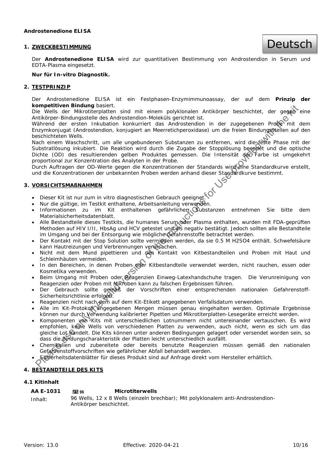### **1. ZWECKBESTIMMUNG**

Deutsch

Der **Androstenedione ELISA** wird zur quantitativen Bestimmung von Androstendion in Serum und EDTA-Plasma eingesetzt.

#### **Nur für In-vitro Diagnostik.**

#### **2. TESTPRINZIP**

Der Androstenedione ELISA ist ein Festphasen-Enzymimmunoassay, der auf dem **Prinzip der kompetitiven Bindung** basiert.

Die Wells der Mikrotiterplatten sind mit einem polyklonalen Antikörper beschichtet, der gegen eine Antikörper-Bindungsstelle des Androstendion-Moleküls gerichtet ist.

Während der ersten Inkubation konkurriert das Androstendion in der zugegebenen Probe mit dem Enzymkonjugat (Androstendion, konjugiert an Meerretichperoxidase) um die freien Bindungsstellen auf den beschichteten Wells.

Nach einem Waschschritt, um alle ungebundenen Substanzen zu entfernen, wird die feste Phase mit der Substratlösung inkubiert. Die Reaktion wird durch die Zugabe der Stopplösung beendet und die optische Dichte (OD) des resultierenden gelben Produktes gemessen. Die Intensität der Farbe ist umgekehrt proportional zur Konzentration des Analyten in der Probe. **Experimental model with the control of the valid version of the Valid version of the Valid version of the valid version of the Valid version of the Valid Valid version of the Valid Valid Valid Valid Valid Valid Valid Val** 

Durch Auftragen der OD-Werte gegen die Konzentrationen der Standards wird eine Standardkurve erstellt, und die Konzentrationen der unbekannten Proben werden anhand dieser Standardkurve bestimmt.

#### **3. VORSICHTSMAßNAHMEN**

- Dieser Kit ist nur zum in vitro diagnostischen Gebrauch geeignet.
- · Nur die gültige, im Testkit enthaltene, Arbeitsanleitung verwenden.
- Informationen zu im Kit enthaltenen gefährlichen Substanzen entnehmen Sie bitte dem Materialsicherheitsdatenblatt.
- · Alle Bestandteile dieses Testkits, die humanes Serum oder Plasma enthalten, wurden mit FDA-geprüften Methoden auf HIV I/II, HbsAg und HCV getestet und als negativ bestätigt. Jedoch sollten alle Bestandteile im Umgang und bei der Entsorgung wie mögliche Gefahrenstoffe betrachtet werden.
- Der Kontakt mit der Stop Solution sollte vermieden werden, da sie 0.5 M H2SO4 enthält. Schwefelsäure kann Hautreizungen und Verbrennungen verursachen.
- Nicht mit dem Mund pipettieren und den Kontakt von Kitbestandteilen und Proben mit Haut und Schleimhäuten vermeiden.
- · In den Bereichen, in denen Proben oder Kitbestandteile verwendet werden, nicht rauchen, essen oder Kosmetika verwenden.
- Beim Umgang mit Proben oder Reagenzien Einweg-Latexhandschuhe tragen. Die Verunreinigung von Reagenzien oder Proben mit Mikroben kann zu falschen Ergebnissen führen.
- Der Gebrauch sollte gemäß der Vorschriften einer entsprechenden nationalen Gefahrenstoff-Sicherheitsrichtlinie erfolgen.
- Reagenzien nicht nach dem auf dem Kit-Etikett angegebenen Verfallsdatum verwenden.
- Alle im Kit-Protokoll angegebenen Mengen müssen genau eingehalten werden. Optimale Ergebnisse können nur durch Verwendung kalibrierter Pipetten und Mikrotiterplatten-Lesegeräte erreicht werden.
- Komponenten von Kits mit unterschiedlichen Lotnummern nicht untereinander vertauschen. Es wird empfohlen, keine Wells von verschiedenen Platten zu verwenden, auch nicht, wenn es sich um das gleiche Lot handelt. Die Kits können unter anderen Bedingungen gelagert oder versendet worden sein, so dass die Bindungscharakteristik der Platten leicht unterschiedlich ausfällt.
- Chemikalien und zubereitete oder bereits benutzte Reagenzien müssen gemäß den nationalen Gefahrenstoffvorschriften wie gefährlicher Abfall behandelt werden.
- Sicherheitsdatenblätter für dieses Produkt sind auf Anfrage direkt vom Hersteller erhältlich.

## **4. BESTANDTEILE DES KITS**

## **4.1 Kitinhalt**

| AA E-1031 | <b>TELT</b> 96          | <b>Microtiterwells</b>                                                          |
|-----------|-------------------------|---------------------------------------------------------------------------------|
| Inhalt:   |                         | 96 Wells, 12 x 8 Wells (einzeln brechbar); Mit polyklonalem anti-Androstendion- |
|           | Antikörper beschichtet. |                                                                                 |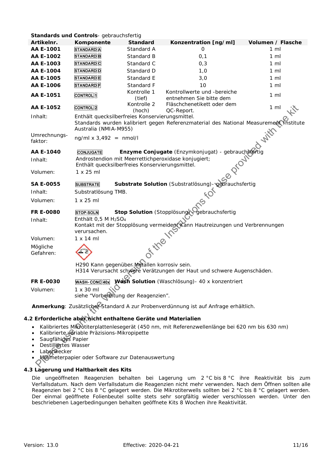| Artikelnr.                                           | Komponente                                                                                                                                                        |                       |                                                                                                 |                   |  |  |  |  |
|------------------------------------------------------|-------------------------------------------------------------------------------------------------------------------------------------------------------------------|-----------------------|-------------------------------------------------------------------------------------------------|-------------------|--|--|--|--|
|                                                      |                                                                                                                                                                   | <b>Standard</b>       | Konzentration [ng/ml]                                                                           | Volumen / Flasche |  |  |  |  |
| AA E-1001                                            | <b>STANDARD</b> A                                                                                                                                                 | Standard A            | 0                                                                                               | $1 \text{ ml}$    |  |  |  |  |
| AA E-1002                                            | <b>STANDARD</b> B                                                                                                                                                 | Standard B            | 0,1                                                                                             | $1 \text{ ml}$    |  |  |  |  |
| AA E-1003                                            | <b>STANDARD</b> C                                                                                                                                                 | Standard C            | 0,3                                                                                             | $1 \text{ ml}$    |  |  |  |  |
| AA E-1004                                            | <b>STANDARD</b> D                                                                                                                                                 | Standard D            | 1,0                                                                                             | $1 \text{ ml}$    |  |  |  |  |
| AA E-1005                                            | <b>STANDARD</b> E                                                                                                                                                 | Standard E            | 3,0                                                                                             | $1 \text{ ml}$    |  |  |  |  |
| AA E-1006                                            | <b>STANDARD</b> F                                                                                                                                                 | Standard F            | 10                                                                                              | $1 \text{ ml}$    |  |  |  |  |
| AA E-1051                                            | <b>CONTROL</b> <sup>1</sup>                                                                                                                                       | Kontrolle 1<br>(tief) | Kontrollwerte und -bereiche<br>entnehmen Sie bitte dem                                          | $1 \text{ ml}$    |  |  |  |  |
| AA E-1052                                            | <b>CONTROL</b> <sub>2</sub>                                                                                                                                       | Kontrolle 2<br>(hoch) | Fläschchenetikett oder dem<br>QC-Report.                                                        | 1 <sub>m</sub>    |  |  |  |  |
| Inhalt:                                              | Enthält quecksilberfreies Konservierungsmittel.<br>Standards wurden kalibriert gegen Referenzmaterial des National Measurement institute<br>Australia (NMIA-M955) |                       |                                                                                                 |                   |  |  |  |  |
| Umrechnungs-<br>faktor:                              | $ng/ml \times 3,492 = nmol/l$                                                                                                                                     |                       |                                                                                                 | With              |  |  |  |  |
| AA E-1040                                            | <b>CONJUGATE</b>                                                                                                                                                  |                       | Enzyme Conjugate (Enzymkonjugat) - gebrauch stertig                                             |                   |  |  |  |  |
| Inhalt:                                              | Androstendion mit Meerrettichperoxidase konjugiert;<br>Enthält quecksilberfreies Konservierungsmittel.                                                            |                       |                                                                                                 |                   |  |  |  |  |
| Volumen:                                             | $1 \times 25$ ml                                                                                                                                                  |                       |                                                                                                 |                   |  |  |  |  |
| <b>SA E-0055</b>                                     | <b>SUBSTRATE</b>                                                                                                                                                  |                       | Substrate Solution (Substratlösung) - gebrauchsfertig                                           |                   |  |  |  |  |
| Inhalt:                                              | Substratlösung TMB.                                                                                                                                               |                       |                                                                                                 |                   |  |  |  |  |
| Volumen:                                             | $1 \times 25$ ml                                                                                                                                                  |                       | <b>SICH</b>                                                                                     |                   |  |  |  |  |
| <b>FR E-0080</b>                                     | <b>STOP-SOLN</b>                                                                                                                                                  |                       | Stop Solution (Stopplösung) gebrauchsfertig                                                     |                   |  |  |  |  |
| Inhalt:                                              | Enthält $0,5$ M $H2SO4$<br>verursachen.                                                                                                                           |                       | Kontakt mit der Stopplösung vermeiden Kann Hautreizungen und Verbrennungen                      |                   |  |  |  |  |
| Volumen:                                             | 1 x 14 m                                                                                                                                                          |                       |                                                                                                 |                   |  |  |  |  |
| Mögliche<br>Gefahren:                                |                                                                                                                                                                   | Fitte ine             |                                                                                                 |                   |  |  |  |  |
|                                                      | H290 Kann gegenüber Metallen korrosiv sein.                                                                                                                       |                       | H314 Verursacht schwere Verätzungen der Haut und schwere Augenschäden.                          |                   |  |  |  |  |
| FR E-0030<br>Volumen:                                | WASH-CONC 40x Wash Solution (Waschlösung) - 40 x konzentriert<br>$1 \times 30$ ml                                                                                 |                       |                                                                                                 |                   |  |  |  |  |
|                                                      | siehe "Vorbereitung der Reagenzien".                                                                                                                              |                       |                                                                                                 |                   |  |  |  |  |
|                                                      |                                                                                                                                                                   |                       | Anmerkung: Zusätzliche Standard A zur Probenverdünnung ist auf Anfrage erhältlich.              |                   |  |  |  |  |
|                                                      | 2 Erforderliche aber hicht enthaltene Geräte und Materialien                                                                                                      |                       |                                                                                                 |                   |  |  |  |  |
| ٠<br>Saugfähiges Papier<br>٠<br>Destilliertes Wasser | Kalibrierte variable Präzisions-Mikropipette                                                                                                                      |                       | Kalibriertes Mikrotiterplattenlesegerät (450 nm, mit Referenzwellenlänge bei 620 nm bis 630 nm) |                   |  |  |  |  |
| Laborwecker                                          |                                                                                                                                                                   |                       |                                                                                                 |                   |  |  |  |  |
|                                                      | Mulimeterpapier oder Software zur Datenauswertung                                                                                                                 |                       |                                                                                                 |                   |  |  |  |  |

## **4.2 Erforderliche aber nicht enthaltene Geräte und Materialien**

- Kalibriertes Mikrotiterplattenlesegerät (450 nm, mit Referenzwellenlänge bei 620 nm bis 630 nm)
- Kalibrierte variable Präzisions-Mikropipette
- Saugfähiges Papier
- Destilliertes Wasser
- **Laborwecker**
- Millimeterpapier oder Software zur Datenauswertung

## **4.3 Lagerung und Haltbarkeit des Kits**

Die ungeöffneten Reagenzien behalten bei Lagerung um 2 °C bis 8 °C ihre Reaktivität bis zum Verfallsdatum. Nach dem Verfallsdatum die Reagenzien nicht mehr verwenden. Nach dem Öffnen sollten alle Reagenzien bei 2 °C bis 8 °C gelagert werden. Die Mikrotiterwells sollten bei 2 °C bis 8 °C gelagert werden. Der einmal geöffnete Folienbeutel sollte stets sehr sorgfältig wieder verschlossen werden. Unter den beschriebenen Lagerbedingungen behalten geöffnete Kits 8 Wochen ihre Reaktivität.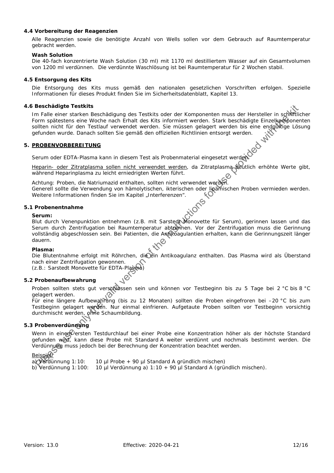### **4.4 Vorbereitung der Reagenzien**

Alle Reagenzien sowie die benötigte Anzahl von Wells sollen vor dem Gebrauch auf Raumtemperatur gebracht werden.

#### **Wash Solution**

Die 40-fach konzentrierte Wash Solution (30 ml) mit 1170 ml destilliertem Wasser auf ein Gesamtvolumen von 1200 ml verdünnen. *Die verdünnte Waschlösung ist bei Raumtemperatur für 2 Wochen stabil*.

#### **4.5 Entsorgung des Kits**

Die Entsorgung des Kits muss gemäß den nationalen gesetzlichen Vorschriften erfolgen. Spezielle Informationen für dieses Produkt finden Sie im Sicherheitsdatenblatt, Kapitel 13.

#### **4.6 Beschädigte Testkits**

Im Falle einer starken Beschädigung des Testkits oder der Komponenten muss der Hersteller in schriftlicher Form spätestens eine Woche nach Erhalt des Kits informiert werden. Stark beschädigte Einzelkomponenten sollten nicht für den Testlauf verwendet werden. Sie müssen gelagert werden bis eine endgültige Lösung gefunden wurde. Danach sollten Sie gemäß den offiziellen Richtlinien entsorgt werden. The Testikits of the Valis of the Valis of the Valis of the Valis of the Valis of the Valis of the Valis of the Valis of the Valis of the Valis of the Valis of the Valis of the Valis of the Valis of the Valis of the Valis

#### **5. PROBENVORBEREITUNG**

Serum oder EDTA-Plasma kann in diesem Test als Probenmaterial eingesetzt werden

Heparin- oder Zitratplasma sollen nicht verwendet werden, da Zitratplasma deutlich erhöhte Werte gibt, während Heparinplasma zu leicht erniedrigten Werten führt.

Achtung: Proben, die Natriumazid enthalten, sollten nicht verwendet werden. Generell sollte die Verwendung von hämolytischen, ikterischen oder lipämischen Proben vermieden werden.<br>Weitere Informationen finden Sie im Kapitel *"Interferenzen"*. (O Weitere Informationen finden Sie im Kapitel "Interferenzen".

#### **5.1 Probenentnahme**

#### **Serum:**

Blut durch Venenpunktion entnehmen (z.B. mit Sarstedt Monovette für Serum), gerinnen lassen und das Serum durch Zentrifugation bei Raumtemperatur abtrennen. Vor der Zentrifugation muss die Gerinnung vollständig abgeschlossen sein. Bei Patienten, die Antikoagulantien erhalten, kann die Gerinnungszeit länger dauern.

#### **Plasma:**

Die Blutentnahme erfolgt mit Röhrchen, die ein Antikoagulanz enthalten. Das Plasma wird als Überstand nach einer Zentrifugation gewonnen.

(z.B.: Sarstedt Monovette für EDTA-Plasma)

## **5.2 Probenaufbewahrung**

Proben sollten stets gut verschlossen sein und können vor Testbeginn bis zu 5 Tage bei 2 °C bis 8 °C gelagert werden.

Für eine längere Aufbewahrung (bis zu 12 Monaten) sollten die Proben eingefroren bei –20 °C bis zum Testbeginn gelagert werden. Nur einmal einfrieren. Aufgetaute Proben sollten vor Testbeginn vorsichtig durchmischt werden, ohne Schaumbildung.

## **5.3 Probenverdünnung**

Wenn in einem Versten Testdurchlauf bei einer Probe eine Konzentration höher als der höchste Standard gefunden wird, kann diese Probe mit Standard A weiter verdünnt und nochmals bestimmt werden. Die Verdünnung muss jedoch bei der Berechnung der Konzentration beachtet werden.<br>
<u>Beispiele</u><br>
a) Verdünnung 1:10: 10 ul Probe + 90 ul *Standard A* gründlich mischen)<br>
b) Verdünnung 1:100: 10 ul Verdünnung 2) 1:10 u 90 ul Stan

## **Beispiel**

a) Verdünnung 1:10: 10 µl Probe + 90 µl *Standard A* gründlich mischen)

b) Verdünnung 1:100: 10 µl Verdünnung a) 1:10 + 90 µl *Standard A* (gründlich mischen).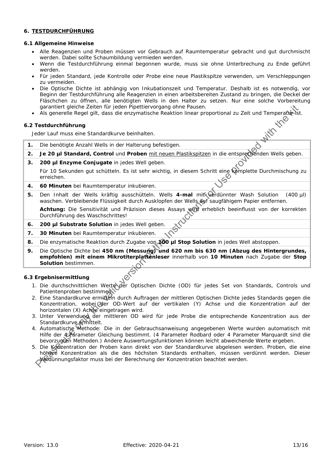## **6. TESTDURCHFÜHRUNG**

## **6.1 Allgemeine Hinweise**

- Alle Reagenzien und Proben müssen vor Gebrauch auf Raumtemperatur gebracht und gut durchmischt werden. Dabei sollte Schaumbildung vermieden werden.
- Wenn die Testdurchführung einmal begonnen wurde, muss sie ohne Unterbrechung zu Ende geführt werden.
- Für jeden Standard, jede Kontrolle oder Probe eine neue Plastikspitze verwenden, um Verschleppungen zu vermeiden.
- Die Optische Dichte ist abhängig von Inkubationszeit und Temperatur. Deshalb ist es notwendig, vor Beginn der Testdurchführung alle Reagenzien in einen arbeitsbereiten Zustand zu bringen, die Deckel der Fläschchen zu öffnen, alle benötigten Wells in den Halter zu setzen. Nur eine solche Vorbereitung garantiert gleiche Zeiten für jeden Pipettiervorgang ohne Pausen.
- Als generelle Regel gilt, dass die enzymatische Reaktion linear proportional zu Zeit und Temperatur ist.<br>
2 Testdurchführung<br>
Jeder Lauf muss eine Standardkurve beinhalten

## **6.2 Testdurchführung**

Jeder Lauf muss eine Standardkurve beinhalten.

- **1.** Die benötigte Anzahl Wells in der Halterung befestigen.
- **2. Je 20 µl** *Standard, Control* und **Proben** mit neuen Plastikspitzen in die entsprechenden Wells geben.
- **3. 200 µl** *Enzyme Conjugate* in jedes Well geben.

Für 10 Sekunden gut schütteln. Es ist sehr wichtig, in diesem Schritt eine komplette Durchmischung zu erreichen.

- **4. 60 Minuten** bei Raumtemperatur inkubieren.
- **5.** Den Inhalt der Wells kräftig ausschütteln. Wells **4-mal** mit verdünnter *Wash Solution* (400 µl) waschen. Verbleibende Flüssigkeit durch Ausklopfen der Wells auf saugfähigem Papier entfernen.

Achtung: Die Sensitivität und Präzision dieses Assays wird erheblich beeinflusst von der korrekten Durchführung des Waschschrittes!

- **6. 200 µl** *Substrate Solution* in jedes Well geben.
- **7. 30 Minuten** bei Raumtemperatur inkubieren.
- **8.** Die enzymatische Reaktion durch Zugabe von **100 µl** *Stop Solution* in jedes Well abstoppen.
- **9.** Die Optische Dichte bei **450 nm (Messung) und 620 nm bis 630 nm (Abzug des Hintergrundes, empfohlen) mit einem Mikrotiterplattenleser** innerhalb von **10 Minuten** nach Zugabe der *Stop Solution* bestimmen.

## **6.3 Ergebnisermittlung**

- 1. Die durchschnittlichen Werte der Optischen Dichte (OD) für jedes Set von Standards, Controls und Patientenproben bestimmen.
- 2. Eine Standardkurve ermitteln durch Auftragen der mittleren Optischen Dichte jedes Standards gegen die Konzentration, wobei der OD-Wert auf der vertikalen (Y) Achse und die Konzentration auf der horizontalen (X) Achse eingetragen wird.
- 3. Unter Verwendung der mittleren OD wird für jede Probe die entsprechende Konzentration aus der Standardkurve ermittelt.
- 4. Automatische Methode: Die in der Gebrauchsanweisung angegebenen Werte wurden automatisch mit Hilfe der 4 Parameter Gleichung bestimmt. (4 Parameter Rodbard oder 4 Parameter Marquardt sind die bevorzugten Methoden.) Andere Auswertungsfunktionen können leicht abweichende Werte ergeben.
- 5. Die Konzentration der Proben kann direkt von der Standardkurve abgelesen werden. Proben, die eine höhere Konzentration als die des höchsten Standards enthalten, müssen verdünnt werden. Dieser Verdünnungsfaktor muss bei der Berechnung der Konzentration beachtet werden. are intert globing and the valid version of the valid version.<br>
Als generalis Regel glit, dass die enzymatische Reaktion linear proportional zu Zeit und Temperative<br>
Testdurchfohrung<br>
De Zo jui *Standard, Control* und Pro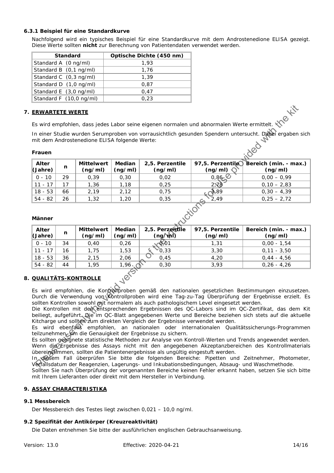## **6.3.1 Beispiel für eine Standardkurve**

Nachfolgend wird ein typisches Beispiel für eine Standardkurve mit dem Androstenedione ELISA gezeigt. Diese Werte sollten **nicht** zur Berechnung von Patientendaten verwendet werden.

| <b>Standard</b>         | Optische Dichte (450 nm) |
|-------------------------|--------------------------|
| Standard A (0 ng/ml)    | 1.93                     |
| Standard B (0,1 ng/ml)  | 1,76                     |
| Standard C (0,3 ng/ml)  | 1.39                     |
| Standard D (1,0 ng/ml)  | 0.87                     |
| Standard E (3,0 ng/ml)  | 0.47                     |
| Standard F (10,0 ng/ml) | 0.23                     |

## **7. ERWARTETE WERTE**

## **Frauen**

| Alter<br>$\langle$ Jahre) | n  | <b>Mittelwert</b><br>(ng/ml) | <b>Median</b><br>(ng/ml) | 2,5. Perzentile<br>(ng/ml) | (ng/ml)         | 97,5. Perzentile Bereich (min. - max.) $\parallel$<br>(ng/ml) |
|---------------------------|----|------------------------------|--------------------------|----------------------------|-----------------|---------------------------------------------------------------|
| $0 - 10$                  | 29 | 0,39                         | 0.30                     | 0,02                       | 0,86,8          | $0,00 - 0,99$                                                 |
| $11 - 17$                 |    | 1,36                         | 1,18                     | 0,25                       | $2 \times 8$    | $0,10 - 2,83$                                                 |
| $18 - 53$                 | 66 | 2,19                         | 2.12                     | 0,75                       | $\frac{1}{2}89$ | $0,30 - 4,39$                                                 |
| 54 - 82                   | 26 | 1,32                         | 1,20                     | 0,35                       | 2.49            | $0,25 - 2,72$                                                 |

### **Männer**

| Es wird empfohlen, dass jedes Labor seine eigenen normalen und abnormalen Werte ermittelt.<br>In einer Studie wurden Serumproben von vorrausichtlich gesunden Spendern untersucht. Dabei ergaben sich |                                                                                                                                                                                                   |                              |                   |                                                                               |                                                                                         |                                                                                                           |  |
|-------------------------------------------------------------------------------------------------------------------------------------------------------------------------------------------------------|---------------------------------------------------------------------------------------------------------------------------------------------------------------------------------------------------|------------------------------|-------------------|-------------------------------------------------------------------------------|-----------------------------------------------------------------------------------------|-----------------------------------------------------------------------------------------------------------|--|
| Jed<br>Frauen                                                                                                                                                                                         |                                                                                                                                                                                                   |                              |                   |                                                                               |                                                                                         |                                                                                                           |  |
| Alter<br>(Jahre)                                                                                                                                                                                      | n                                                                                                                                                                                                 | <b>Mittelwert</b><br>(ng/ml) | Median<br>(ng/ml) | 2,5. Perzentile<br>(ng/ml)                                                    | 97,5. Perzentile<br>(ng/ml)                                                             | Bereich (min. - max.)<br>(ng/ml)                                                                          |  |
| $0 - 10$                                                                                                                                                                                              | 29                                                                                                                                                                                                | 0, 39                        | 0, 30             | 0,02                                                                          | 0,86,8                                                                                  | $0,00 - 0,99$                                                                                             |  |
| $11 - 17$                                                                                                                                                                                             | 17                                                                                                                                                                                                | 1,36                         | 1,18              | 0,25                                                                          | 2, 8                                                                                    | $0,10 - 2,83$                                                                                             |  |
| $18 - 53$                                                                                                                                                                                             | 66                                                                                                                                                                                                | 2,19                         | 2,12              | 0,75                                                                          | 789                                                                                     | $0,30 - 4,39$                                                                                             |  |
| $54 - 82$                                                                                                                                                                                             | 26                                                                                                                                                                                                | 1,32                         | 1,20              | 0,35                                                                          | 2,49                                                                                    | $0,25 - 2,72$                                                                                             |  |
| Männer                                                                                                                                                                                                | KLUCKIONS                                                                                                                                                                                         |                              |                   |                                                                               |                                                                                         |                                                                                                           |  |
| <b>Alter</b><br>(Jahre)                                                                                                                                                                               | n                                                                                                                                                                                                 | <b>Mittelwert</b><br>(ng/ml) | Median<br>(ng/ml) | 2,5. Perzentile<br>$(ng\lambda n)$                                            | 97,5. Perzentile<br>(ng/ml)                                                             | Bereich (min. - max.)<br>(ng/ml)                                                                          |  |
| $0 - 10$                                                                                                                                                                                              | 34                                                                                                                                                                                                | 0,40                         | 0,26              | 661                                                                           | 1,31                                                                                    | $0,00 - 1,54$                                                                                             |  |
| $11 - 17$                                                                                                                                                                                             | 16                                                                                                                                                                                                | 1,75                         | 1,53              | O, 33                                                                         | 3,30                                                                                    | $0,11 - 3,50$                                                                                             |  |
| $18 - 53$                                                                                                                                                                                             | 36                                                                                                                                                                                                | 2,15                         | 2,06              | 0,45                                                                          | 4,20                                                                                    | $0,44 - 4,56$                                                                                             |  |
| $54 - 82$                                                                                                                                                                                             | 44                                                                                                                                                                                                | 1,95                         | 1,96.             | 0, 30                                                                         | 3,93                                                                                    | $0,26 - 4,26$                                                                                             |  |
| <b>Jen5</b><br><b>QUALITÄTS-KONTROLLE</b><br>Es wird empfohlen, die Kontroltproben gemäß den nationalen gesetzlichen Bestimmungen einzusetzen.                                                        |                                                                                                                                                                                                   |                              |                   |                                                                               |                                                                                         |                                                                                                           |  |
| Durch die Verwendung von Kontrollproben wird eine Tag-zu-Tag Überprüfung der Ergebnisse erzielt. Es                                                                                                   |                                                                                                                                                                                                   |                              |                   |                                                                               |                                                                                         |                                                                                                           |  |
|                                                                                                                                                                                                       |                                                                                                                                                                                                   |                              |                   |                                                                               | sollten Kontrollen sowohl mit normalem als auch pathologischem Level eingesetzt werden. |                                                                                                           |  |
|                                                                                                                                                                                                       |                                                                                                                                                                                                   |                              |                   |                                                                               |                                                                                         | Die Kontrollen mit der entsprechenden Ergebnissen des QC-Labors sind im QC-Zertifikat, das dem Kit        |  |
|                                                                                                                                                                                                       |                                                                                                                                                                                                   |                              |                   | Kitcharge und sollten zum direkten Vergleich der Ergebnisse verwendet werden. |                                                                                         | beiliegt, aufgeführt. Die im QC-Blatt angegebenen Werte und Bereiche beziehen sich stets auf die aktuelle |  |
|                                                                                                                                                                                                       |                                                                                                                                                                                                   |                              |                   |                                                                               |                                                                                         | Es wird ebenfalls empfohlen, an nationalen oder internationalen Qualitätssicherungs-Programmen            |  |
|                                                                                                                                                                                                       |                                                                                                                                                                                                   |                              |                   | teilzunehmen, um die Genauigkeit der Ergebnisse zu sichern.                   |                                                                                         |                                                                                                           |  |
|                                                                                                                                                                                                       |                                                                                                                                                                                                   |                              |                   |                                                                               |                                                                                         | Es sollten geolgnete statistische Methoden zur Analyse von Kontroll-Werten und Trends angewendet werden.  |  |
|                                                                                                                                                                                                       |                                                                                                                                                                                                   |                              |                   |                                                                               |                                                                                         | Wenn die Ergebnisse des Assays nicht mit den angegebenen Akzeptanzbereichen des Kontrollmaterials         |  |
|                                                                                                                                                                                                       | übereinstimmen, sollten die Patientenergebnisse als ungültig eingestuft werden.                                                                                                                   |                              |                   |                                                                               |                                                                                         |                                                                                                           |  |
|                                                                                                                                                                                                       | In desem Fall überprüfen Sie bitte die folgenden Bereiche: Pipetten und Zeitnehmer, Photometer,<br>Verfallsdatum der Reagenzien, Lagerungs- und Inkubationsbedingungen, Absaug- und Waschmethode. |                              |                   |                                                                               |                                                                                         |                                                                                                           |  |

## **8. QUALITÄTS-KONTROLLE**

Sollten Sie nach Überprüfung der vorgenannten Bereiche keinen Fehler erkannt haben, setzen Sie sich bitte mit Ihrem Lieferanten oder direkt mit dem Hersteller in Verbindung.

## **9. ASSAY CHARACTERISTIKA**

## **9.1 Messbereich**

Der Messbereich des Testes liegt zwischen 0,021 – 10,0 ng/ml.

## **9.2 Spezifität der Antikörper (Kreuzreaktivität)**

Die Daten entnehmen Sie bitte der ausführlichen englischen Gebrauchsanweisung.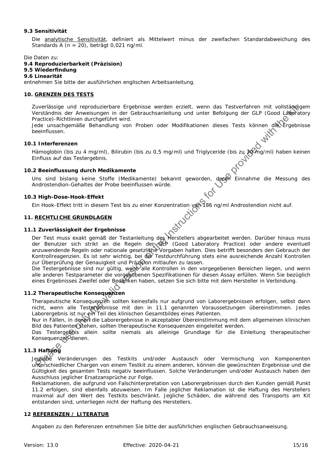## **9.3 Sensitivität**

Die analytische Sensitivität, definiert als Mittelwert minus der zweifachen Standardabweichung des Standards A (n = 20), beträgt 0,021 ng/ml.

Die Daten zu:

## **9.4 Reproduzierbarkeit (Präzision)**

# **9.5 Wiederfindung**

**9.6 Linearität**

entnehmen Sie bitte der ausführlichen englischen Arbeitsanleitung.

## **10. GRENZEN DES TESTS**

Zuverlässige und reproduzierbare Ergebnisse werden erzielt, wenn das Testverfahren mit vollständigem Verständnis der Anweisungen in der Gebrauchsanleitung und unter Befolgung der GLP (Good Laboratory Practice)-Richtlinien durchgeführt wird.

Jede unsachgemäße Behandlung von Proben oder Modifikationen dieses Tests können die Ergebnisse beeinflussen.

#### **10.1 Interferenzen**

Hämoglobin (bis zu 4 mg/ml), Bilirubin (bis zu 0,5 mg/ml) und Triglyceride (bis zu 30 mg/ml) haben keinen Einfluss auf das Testergebnis.

## **10.2 Beeinflussung durch Medikamente**

Uns sind bislang keine Stoffe (Medikamente) bekannt geworden, deren Einnahme die Messung des Androstendion-Gehaltes der Probe beeinflussen würde.

#### **10.3 High-Dose-Hook-Effekt**

Ein Hook-Effekt tritt in diesem Test bis zu einer Konzentration von 186 ng/ml Androstendion nicht auf.

### **11. RECHTLICHE GRUNDLAGEN**

#### **11.1 Zuverlässigkeit der Ergebnisse**

Der Test muss exakt gemäß der Testanleitung des Herstellers abgearbeitet werden. Darüber hinaus muss der Benutzer sich strikt an die Regeln der GLP (Good Laboratory Practice) oder andere eventuell anzuwendende Regeln oder nationale gesetzliche Vorgaben halten. Dies betrifft besonders den Gebrauch der Kontrollreagenzien. Es ist sehr wichtig, bei der Testdurchführung stets eine ausreichende Anzahl Kontrollen zur Überprüfung der Genauigkeit und Präzision mitlaufen zu lassen. uncellastige und reproduzion-bare uncertainty and the restriction of the reminder of the valid states in the valid version of the valid version of the valid version of the valid version of the Conditions of the Use provide

Die Testergebnisse sind nur gültig, wenn alle Kontrollen in den vorgegebenen Bereichen liegen, und wenn alle anderen Testparameter die vorgegebenen Spezifikationen für diesen Assay erfüllen. Wenn Sie bezüglich eines Ergebnisses Zweifel oder Bedenken haben, setzen Sie sich bitte mit dem Hersteller in Verbindung.

## **11.2 Therapeutische Konsequenzen**

Therapeutische Konsequenzen sollten keinesfalls nur aufgrund von Laborergebnissen erfolgen, selbst dann nicht, wenn alle Testergebnisse mit den in 11.1 genannten Voraussetzungen übereinstimmen. Jedes Laborergebnis ist nur ein Teil des klinischen Gesamtbildes eines Patienten.

Nur in Fällen, in denen die Laborergebnisse in akzeptabler Übereinstimmung mit dem allgemeinen klinischen Bild des Patienten stehen, sollten therapeutische Konsequenzen eingeleitet werden.

Das Testergebnis allein sollte niemals als alleinige Grundlage für die Einleitung therapeutischer Konsequenzen dienen.

## **11.3 Haftung**

Jegliche Veränderungen des Testkits und/oder Austausch oder Vermischung von Komponenten unterschiedlicher Chargen von einem Testkit zu einem anderen, können die gewünschten Ergebnisse und die Gültigkeit des gesamten Tests negativ beeinflussen. Solche Veränderungen und/oder Austausch haben den Ausschluss jeglicher Ersatzansprüche zur Folge.

Reklamationen, die aufgrund von Falschinterpretation von Laborergebnissen durch den Kunden gemäß Punkt 11.2 erfolgen, sind ebenfalls abzuweisen. Im Falle jeglicher Reklamation ist die Haftung des Herstellers maximal auf den Wert des Testkits beschränkt. Jegliche Schäden, die während des Transports am Kit entstanden sind, unterliegen nicht der Haftung des Herstellers.

## **12 REFERENZEN / LITERATUR**

Angaben zu den Referenzen entnehmen Sie bitte der ausführlichen englischen Gebrauchsanweisung.